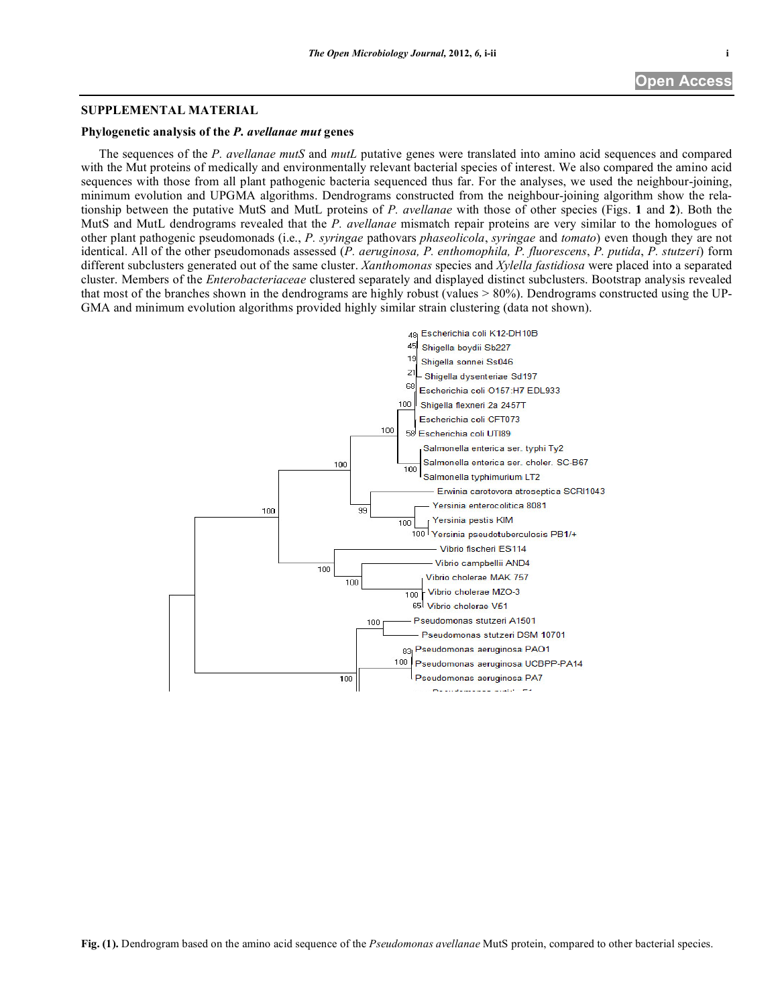## **SUPPLEMENTAL MATERIAL**

## **Phylogenetic analysis of the** *P. avellanae mut* **genes**

The sequences of the *P. avellanae mutS* and *mutL* putative genes were translated into amino acid sequences and compared with the Mut proteins of medically and environmentally relevant bacterial species of interest. We also compared the amino acid sequences with those from all plant pathogenic bacteria sequenced thus far. For the analyses, we used the neighbour-joining, minimum evolution and UPGMA algorithms. Dendrograms constructed from the neighbour-joining algorithm show the relationship between the putative MutS and MutL proteins of *P. avellanae* with those of other species (Figs. **1** and **2**). Both the MutS and MutL dendrograms revealed that the *P. avellanae* mismatch repair proteins are very similar to the homologues of other plant pathogenic pseudomonads (i.e., *P. syringae* pathovars *phaseolicola*, *syringae* and *tomato*) even though they are not identical. All of the other pseudomonads assessed (*P. aeruginosa, P. enthomophila, P. fluorescens*, *P. putida*, *P. stutzeri*) form different subclusters generated out of the same cluster. *Xanthomonas* species and *Xylella fastidiosa* were placed into a separated cluster. Members of the *Enterobacteriaceae* clustered separately and displayed distinct subclusters. Bootstrap analysis revealed that most of the branches shown in the dendrograms are highly robust (values  $> 80\%$ ). Dendrograms constructed using the UP-GMA and minimum evolution algorithms provided highly similar strain clustering (data not shown).